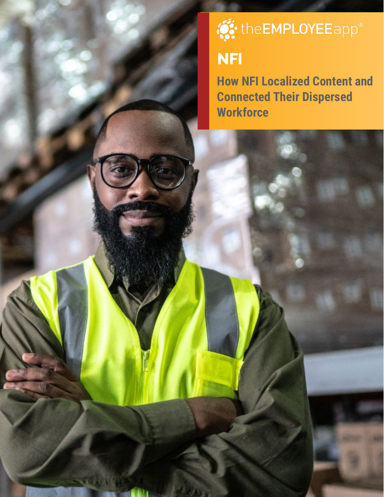# **O:** the EMPLOYEE app<sup>®</sup>

# **NFI**

**How NFI Localized Content and Connected Their Dispersed Workforce**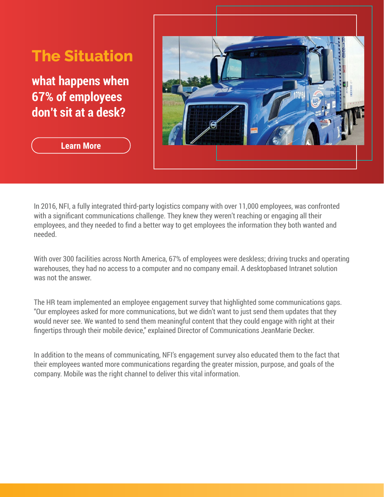# **The Situation**

**what happens when 67% of employees don't sit at a desk?**



**[Learn More](https://www.theemployeeapp.com/blog/nfi-named-a-2020-top-50-trucking-company-by-logistics-management/)**

In 2016, NFI, a fully integrated third-party logistics company with over 11,000 employees, was confronted with a significant communications challenge. They knew they weren't reaching or engaging all their employees, and they needed to find a better way to get employees the information they both wanted and needed.

With over 300 facilities across North America, 67% of employees were deskless; driving trucks and operating warehouses, they had no access to a computer and no company email. A desktopbased Intranet solution was not the answer.

The HR team implemented an employee engagement survey that highlighted some communications gaps. "Our employees asked for more communications, but we didn't want to just send them updates that they would never see. We wanted to send them meaningful content that they could engage with right at their fingertips through their mobile device," explained Director of Communications JeanMarie Decker.

In addition to the means of communicating, NFI's engagement survey also educated them to the fact that their employees wanted more communications regarding the greater mission, purpose, and goals of the company. Mobile was the right channel to deliver this vital information.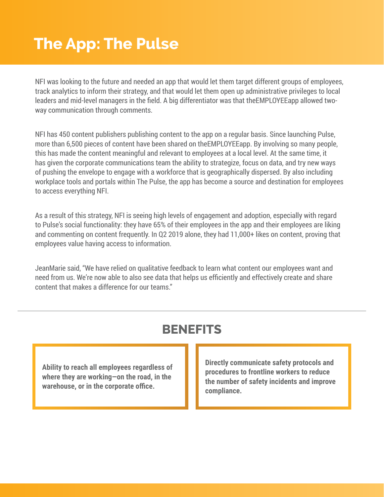# **The App: The Pulse**

NFI was looking to the future and needed an app that would let them target different groups of employees, track analytics to inform their strategy, and that would let them open up administrative privileges to local leaders and mid-level managers in the field. A big differentiator was that theEMPLOYEEapp allowed twoway communication through comments.

NFI has 450 content publishers publishing content to the app on a regular basis. Since launching Pulse, more than 6,500 pieces of content have been shared on theEMPLOYEEapp. By involving so many people, this has made the content meaningful and relevant to employees at a local level. At the same time, it has given the corporate communications team the ability to strategize, focus on data, and try new ways of pushing the envelope to engage with a workforce that is geographically dispersed. By also including workplace tools and portals within The Pulse, the app has become a source and destination for employees to access everything NFI.

As a result of this strategy, NFI is seeing high levels of engagement and adoption, especially with regard to Pulse's social functionality: they have 65% of their employees in the app and their employees are liking and commenting on content frequently. In Q2 2019 alone, they had 11,000+ likes on content, proving that employees value having access to information.

JeanMarie said, "We have relied on qualitative feedback to learn what content our employees want and need from us. We're now able to also see data that helps us efficiently and effectively create and share content that makes a difference for our teams."

#### **BENEFITS**

**Ability to reach all employees regardless of where they are working—on the road, in the warehouse, or in the corporate office.**

**Directly communicate safety protocols and procedures to frontline workers to reduce the number of safety incidents and improve compliance.**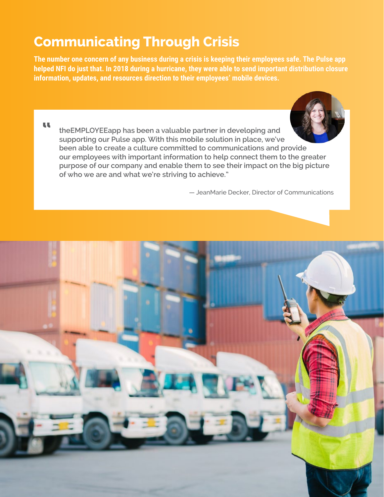### **Communicating Through Crisis**

**The number one concern of any business during a crisis is keeping their employees safe. The Pulse app helped NFI do just that. In 2018 during a hurricane, they were able to send important distribution closure information, updates, and resources direction to their employees' mobile devices.**

**"**



**theEMPLOYEEapp has been a valuable partner in developing and supporting our Pulse app. With this mobile solution in place, we've been able to create a culture committed to communications and provide our employees with important information to help connect them to the greater purpose of our company and enable them to see their impact on the big picture of who we are and what we're striving to achieve."**

— JeanMarie Decker, Director of Communications